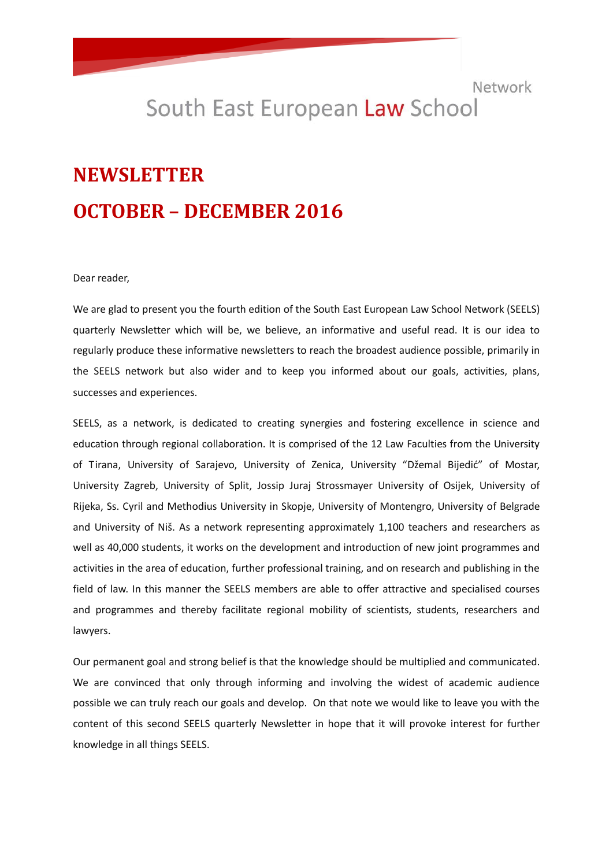## South East European Law School

# **NEWSLETTER OCTOBER – DECEMBER 2016**

Dear reader,

We are glad to present you the fourth edition of the South East European Law School Network (SEELS) quarterly Newsletter which will be, we believe, an informative and useful read. It is our idea to regularly produce these informative newsletters to reach the broadest audience possible, primarily in the SEELS network but also wider and to keep you informed about our goals, activities, plans, successes and experiences.

SEELS, as a network, is dedicated to creating synergies and fostering excellence in science and education through regional collaboration. It is comprised of the 12 Law Faculties from the University of Tirana, University of Sarajevo, University of Zenica, University "Džemal Bijedić" of Mostar, University Zagreb, University of Split, Jossip Juraj Strossmayer University of Osijek, University of Rijeka, Ss. Cyril and Methodius University in Skopje, University of Montengro, University of Belgrade and University of Niš. As a network representing approximately 1,100 teachers and researchers as well as 40,000 students, it works on the development and introduction of new joint programmes and activities in the area of education, further professional training, and on research and publishing in the field of law. In this manner the SEELS members are able to offer attractive and specialised courses and programmes and thereby facilitate regional mobility of scientists, students, researchers and lawyers.

Our permanent goal and strong belief is that the knowledge should be multiplied and communicated. We are convinced that only through informing and involving the widest of academic audience possible we can truly reach our goals and develop. On that note we would like to leave you with the content of this second SEELS quarterly Newsletter in hope that it will provoke interest for further knowledge in all things SEELS.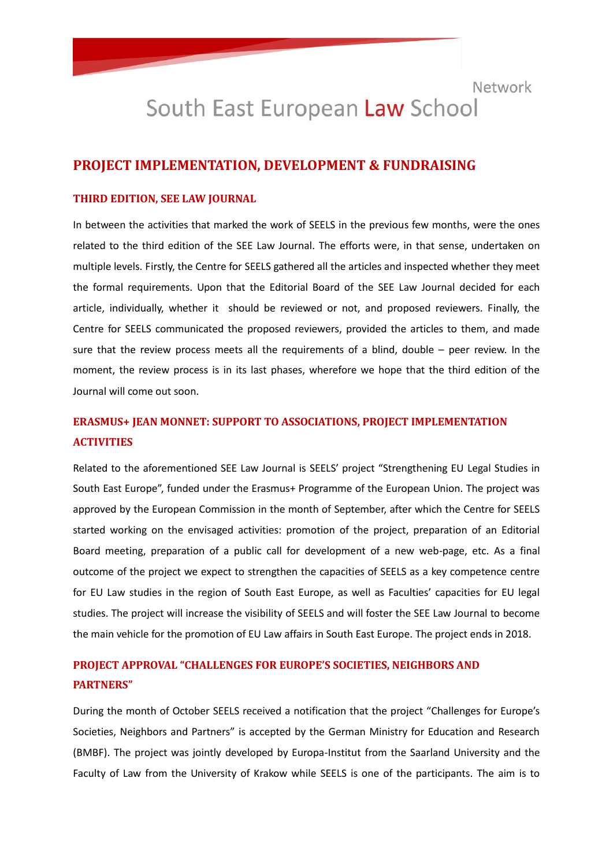## South East European Law School

#### **PROJECT IMPLEMENTATION, DEVELOPMENT & FUNDRAISING**

#### **THIRD EDITION, SEE LAW JOURNAL**

In between the activities that marked the work of SEELS in the previous few months, were the ones related to the third edition of the SEE Law Journal. The efforts were, in that sense, undertaken on multiple levels. Firstly, the Centre for SEELS gathered all the articles and inspected whether they meet the formal requirements. Upon that the Editorial Board of the SEE Law Journal decided for each article, individually, whether it should be reviewed or not, and proposed reviewers. Finally, the Centre for SEELS communicated the proposed reviewers, provided the articles to them, and made sure that the review process meets all the requirements of a blind, double – peer review. In the moment, the review process is in its last phases, wherefore we hope that the third edition of the Journal will come out soon.

### **ERASMUS+ JEAN MONNET: SUPPORT TO ASSOCIATIONS, PROJECT IMPLEMENTATION ACTIVITIES**

Related to the aforementioned SEE Law Journal is SEELS' project "Strengthening EU Legal Studies in South East Europe", funded under the Erasmus+ Programme of the European Union. The project was approved by the European Commission in the month of September, after which the Centre for SEELS started working on the envisaged activities: promotion of the project, preparation of an Editorial Board meeting, preparation of a public call for development of a new web-page, etc. As a final outcome of the project we expect to strengthen the capacities of SEELS as a key competence centre for EU Law studies in the region of South East Europe, as well as Faculties' capacities for EU legal studies. The project will increase the visibility of SEELS and will foster the SEE Law Journal to become the main vehicle for the promotion of EU Law affairs in South East Europe. The project ends in 2018.

## **PROJECT APPROVAL "CHALLENGES FOR EUROPE'S SOCIETIES, NEIGHBORS AND PARTNERS"**

During the month of October SEELS received a notification that the project "Challenges for Europe's Societies, Neighbors and Partners" is accepted by the German Ministry for Education and Research (BMBF). The project was jointly developed by Europa-Institut from the Saarland University and the Faculty of Law from the University of Krakow while SEELS is one of the participants. The aim is to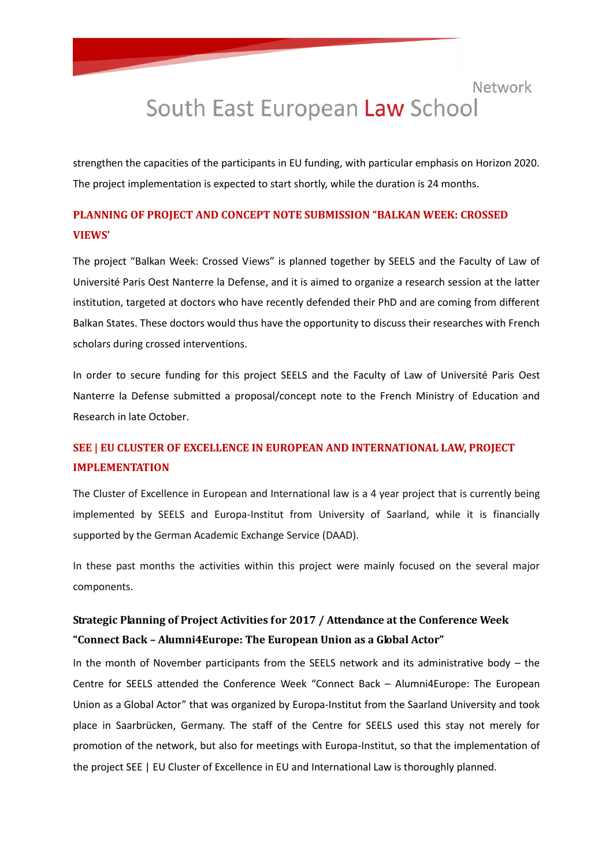## Network South East European Law School

strengthen the capacities of the participants in EU funding, with particular emphasis on Horizon 2020. The project implementation is expected to start shortly, while the duration is 24 months.

## **PLANNING OF PROJECT AND CONCEPT NOTE SUBMISSION "BALKAN WEEK: CROSSED VIEWS'**

The project "Balkan Week: Crossed Views" is planned together by SEELS and the Faculty of Law of Université Paris Oest Nanterre la Defense, and it is aimed to organize a research session at the latter institution, targeted at doctors who have recently defended their PhD and are coming from different Balkan States. These doctors would thus have the opportunity to discuss their researches with French scholars during crossed interventions.

In order to secure funding for this project SEELS and the Faculty of Law of Université Paris Oest Nanterre la Defense submitted a proposal/concept note to the French Ministry of Education and Research in late October.

## **SEE | EU CLUSTER OF EXCELLENCE IN EUROPEAN AND INTERNATIONAL LAW, PROJECT IMPLEMENTATION**

The Cluster of Excellence in European and International law is a 4 year project that is currently being implemented by SEELS and Europa-Institut from University of Saarland, while it is financially supported by the German Academic Exchange Service (DAAD).

In these past months the activities within this project were mainly focused on the several major components.

## **Strategic Planning of Project Activities for 2017 / Attendance at the Conference Week "Connect Back – Alumni4Europe: The European Union as a Global Actor"**

In the month of November participants from the SEELS network and its administrative body – the Centre for SEELS attended the Conference Week "Connect Back – Alumni4Europe: The European Union as a Global Actor" that was organized by Europa-Institut from the Saarland University and took place in Saarbrücken, Germany. The staff of the Centre for SEELS used this stay not merely for promotion of the network, but also for meetings with Europa-Institut, so that the implementation of the project SEE | EU Cluster of Excellence in EU and International Law is thoroughly planned.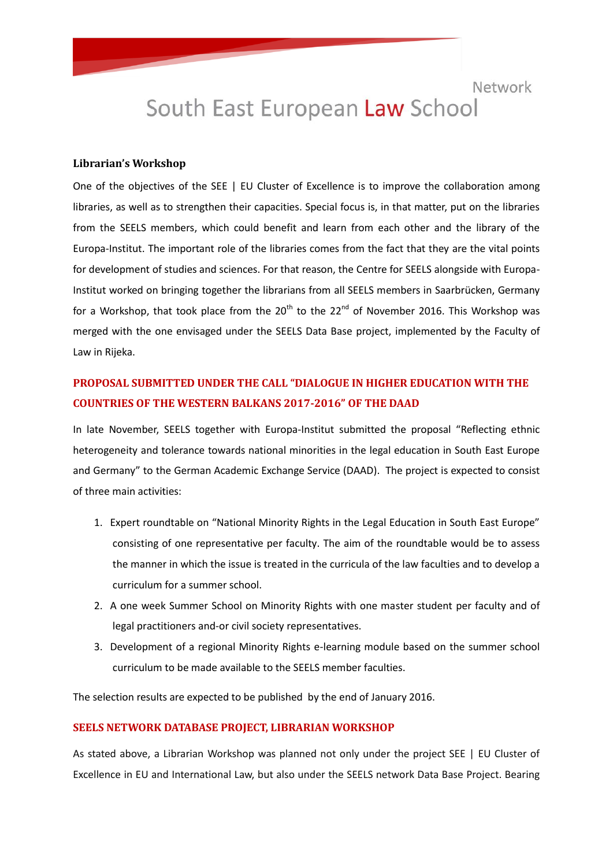# South East European Law School

#### **Librarian's Workshop**

One of the objectives of the SEE | EU Cluster of Excellence is to improve the collaboration among libraries, as well as to strengthen their capacities. Special focus is, in that matter, put on the libraries from the SEELS members, which could benefit and learn from each other and the library of the Europa-Institut. The important role of the libraries comes from the fact that they are the vital points for development of studies and sciences. For that reason, the Centre for SEELS alongside with Europa-Institut worked on bringing together the librarians from all SEELS members in Saarbrücken, Germany for a Workshop, that took place from the  $20^{th}$  to the  $22^{nd}$  of November 2016. This Workshop was merged with the one envisaged under the SEELS Data Base project, implemented by the Faculty of Law in Rijeka.

### **PROPOSAL SUBMITTED UNDER THE CALL "DIALOGUE IN HIGHER EDUCATION WITH THE COUNTRIES OF THE WESTERN BALKANS 2017-2016" OF THE DAAD**

In late November, SEELS together with Europa-Institut submitted the proposal "Reflecting ethnic heterogeneity and tolerance towards national minorities in the legal education in South East Europe and Germany" to the German Academic Exchange Service (DAAD). The project is expected to consist of three main activities:

- 1. Expert roundtable on "National Minority Rights in the Legal Education in South East Europe" consisting of one representative per faculty. The aim of the roundtable would be to assess the manner in which the issue is treated in the curricula of the law faculties and to develop a curriculum for a summer school.
- 2. A one week Summer School on Minority Rights with one master student per faculty and of legal practitioners and-or civil society representatives.
- 3. Development of a regional Minority Rights e-learning module based on the summer school curriculum to be made available to the SEELS member faculties.

The selection results are expected to be published by the end of January 2016.

#### **SEELS NETWORK DATABASE PROJECT, LIBRARIAN WORKSHOP**

As stated above, a Librarian Workshop was planned not only under the project SEE | EU Cluster of Excellence in EU and International Law, but also under the SEELS network Data Base Project. Bearing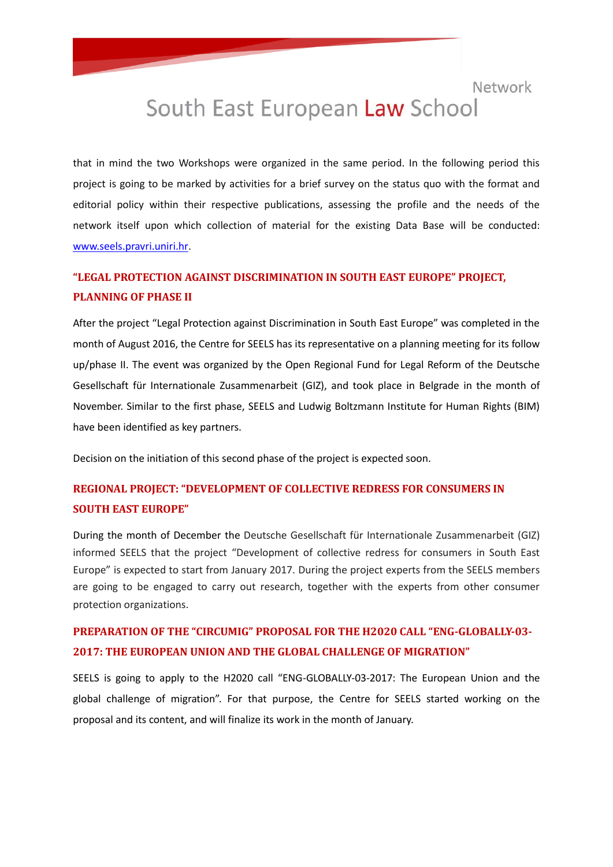## South East European Law School

that in mind the two Workshops were organized in the same period. In the following period this project is going to be marked by activities for a brief survey on the status quo with the format and editorial policy within their respective publications, assessing the profile and the needs of the network itself upon which collection of material for the existing Data Base will be conducted: [www.seels.pravri.uniri.hr.](http://www.seels.pravri.uniri.hr/)

## **"LEGAL PROTECTION AGAINST DISCRIMINATION IN SOUTH EAST EUROPE" PROJECT, PLANNING OF PHASE II**

After the project "Legal Protection against Discrimination in South East Europe" was completed in the month of August 2016, the Centre for SEELS has its representative on a planning meeting for its follow up/phase II. The event was organized by the Open Regional Fund for Legal Reform of the Deutsche Gesellschaft für Internationale Zusammenarbeit (GIZ), and took place in Belgrade in the month of November. Similar to the first phase, SEELS and Ludwig Boltzmann Institute for Human Rights (BIM) have been identified as key partners.

Decision on the initiation of this second phase of the project is expected soon.

### **REGIONAL PROJECT: "DEVELOPMENT OF COLLECTIVE REDRESS FOR CONSUMERS IN SOUTH EAST EUROPE"**

During the month of December the Deutsche Gesellschaft für Internationale Zusammenarbeit (GIZ) informed SEELS that the project "Development of collective redress for consumers in South East Europe" is expected to start from January 2017. During the project experts from the SEELS members are going to be engaged to carry out research, together with the experts from other consumer protection organizations.

### **PREPARATION OF THE "CIRCUMIG" PROPOSAL FOR THE H2020 CALL "ENG-GLOBALLY-03- 2017: THE EUROPEAN UNION AND THE GLOBAL CHALLENGE OF MIGRATION"**

SEELS is going to apply to the H2020 call "ENG-GLOBALLY-03-2017: The European Union and the global challenge of migration". For that purpose, the Centre for SEELS started working on the proposal and its content, and will finalize its work in the month of January.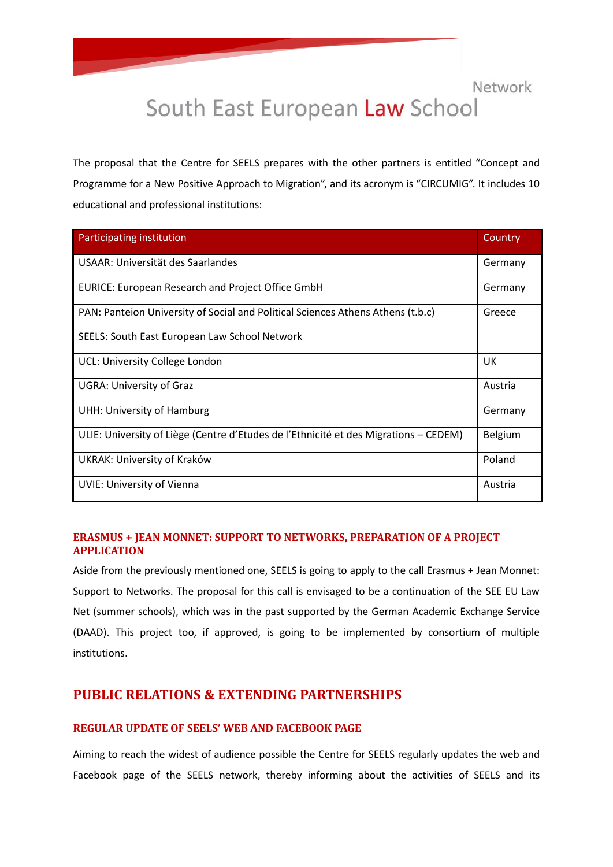## South East European Law School

The proposal that the Centre for SEELS prepares with the other partners is entitled "Concept and Programme for a New Positive Approach to Migration", and its acronym is "CIRCUMIG". It includes 10 educational and professional institutions:

| Participating institution                                                            | Country |
|--------------------------------------------------------------------------------------|---------|
| <b>USAAR: Universität des Saarlandes</b>                                             | Germany |
| <b>EURICE: European Research and Project Office GmbH</b>                             | Germany |
| PAN: Panteion University of Social and Political Sciences Athens Athens (t.b.c)      | Greece  |
| SEELS: South East European Law School Network                                        |         |
| UCL: University College London                                                       | UK      |
| <b>UGRA: University of Graz</b>                                                      | Austria |
| UHH: University of Hamburg                                                           | Germany |
| ULIE: University of Liège (Centre d'Etudes de l'Ethnicité et des Migrations – CEDEM) | Belgium |
| UKRAK: University of Kraków                                                          | Poland  |
| <b>UVIE: University of Vienna</b>                                                    | Austria |

#### **ERASMUS + JEAN MONNET: SUPPORT TO NETWORKS, PREPARATION OF A PROJECT APPLICATION**

Aside from the previously mentioned one, SEELS is going to apply to the call Erasmus + Jean Monnet: Support to Networks. The proposal for this call is envisaged to be a continuation of the SEE EU Law Net (summer schools), which was in the past supported by the German Academic Exchange Service (DAAD). This project too, if approved, is going to be implemented by consortium of multiple institutions.

### **PUBLIC RELATIONS & EXTENDING PARTNERSHIPS**

#### **REGULAR UPDATE OF SEELS' WEB AND FACEBOOK PAGE**

Aiming to reach the widest of audience possible the Centre for SEELS regularly updates the web and Facebook page of the SEELS network, thereby informing about the activities of SEELS and its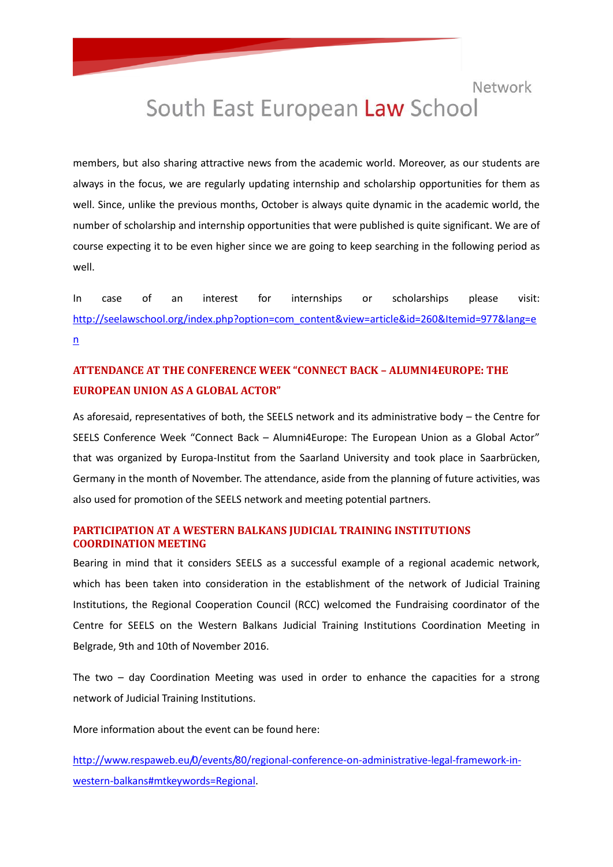## South East European Law School

members, but also sharing attractive news from the academic world. Moreover, as our students are always in the focus, we are regularly updating internship and scholarship opportunities for them as well. Since, unlike the previous months, October is always quite dynamic in the academic world, the number of scholarship and internship opportunities that were published is quite significant. We are of course expecting it to be even higher since we are going to keep searching in the following period as well.

In case of an interest for internships or scholarships please visit: [http://seelawschool.org/index.php?option=com\\_content&view=article&id=260&Itemid=977&lang=e](http://seelawschool.org/index.php?option=com_content&view=article&id=260&Itemid=977&lang=en)  $n$ 

## **ATTENDANCE AT THE CONFERENCE WEEK "CONNECT BACK – ALUMNI4EUROPE: THE EUROPEAN UNION AS A GLOBAL ACTOR"**

As aforesaid, representatives of both, the SEELS network and its administrative body – the Centre for SEELS Conference Week "Connect Back – Alumni4Europe: The European Union as a Global Actor" that was organized by Europa-Institut from the Saarland University and took place in Saarbrücken, Germany in the month of November. The attendance, aside from the planning of future activities, was also used for promotion of the SEELS network and meeting potential partners.

#### **PARTICIPATION AT A WESTERN BALKANS JUDICIAL TRAINING INSTITUTIONS COORDINATION MEETING**

Bearing in mind that it considers SEELS as a successful example of a regional academic network, which has been taken into consideration in the establishment of the network of Judicial Training Institutions, the Regional Cooperation Council (RCC) welcomed the Fundraising coordinator of the Centre for SEELS on the Western Balkans Judicial Training Institutions Coordination Meeting in Belgrade, 9th and 10th of November 2016.

The two – day Coordination Meeting was used in order to enhance the capacities for a strong network of Judicial Training Institutions.

More information about the event can be found here:

[http://www.respaweb.eu/0/events/80/regional-conference-on-administrative-legal-framework-in](http://www.respaweb.eu/0/events/80/regional-conference-on-administrative-legal-framework-in-western-balkans#mtkeywords=Regional)[western-balkans#mtkeywords=Regional.](http://www.respaweb.eu/0/events/80/regional-conference-on-administrative-legal-framework-in-western-balkans#mtkeywords=Regional)